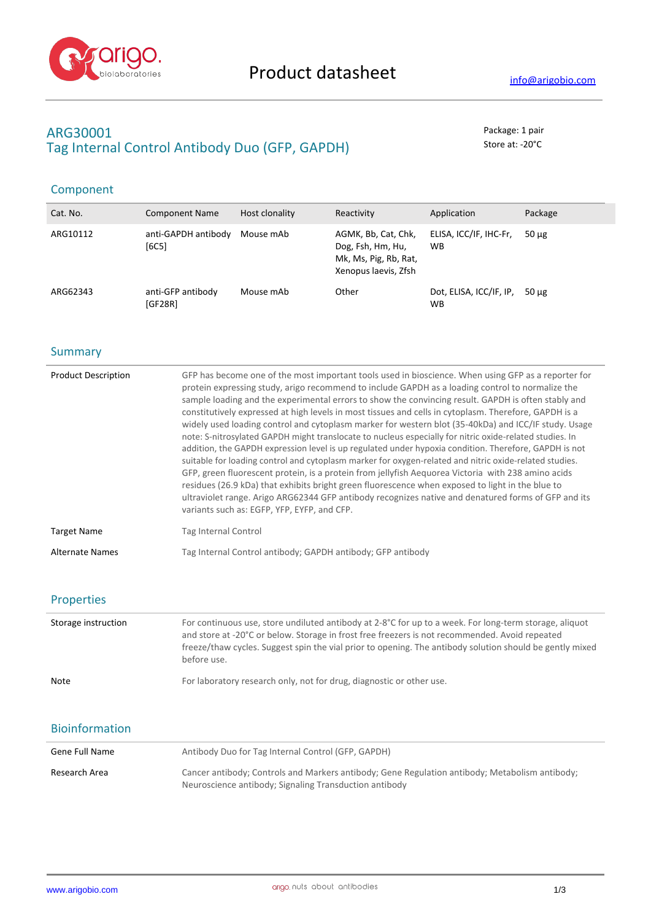

# **ARG30001** Package: 1 pair Tag Internal Control Antibody Duo (GFP, GAPDH) Store at: -20<sup>°</sup>C

# Component

| Cat. No. | <b>Component Name</b>        | Host clonality | Reactivity                                                                                | Application                          | Package    |
|----------|------------------------------|----------------|-------------------------------------------------------------------------------------------|--------------------------------------|------------|
| ARG10112 | anti-GAPDH antibody<br>[6C5] | Mouse mAb      | AGMK, Bb, Cat, Chk,<br>Dog, Fsh, Hm, Hu,<br>Mk, Ms, Pig, Rb, Rat,<br>Xenopus laevis, Zfsh | ELISA, ICC/IF, IHC-Fr,<br><b>WB</b>  | $50 \mu g$ |
| ARG62343 | anti-GFP antibody<br>[GF28R] | Mouse mAb      | Other                                                                                     | Dot, ELISA, ICC/IF, IP,<br><b>WB</b> | 50 µg      |

### **Summary**

| <b>Product Description</b> | GFP has become one of the most important tools used in bioscience. When using GFP as a reporter for<br>protein expressing study, arigo recommend to include GAPDH as a loading control to normalize the<br>sample loading and the experimental errors to show the convincing result. GAPDH is often stably and<br>constitutively expressed at high levels in most tissues and cells in cytoplasm. Therefore, GAPDH is a<br>widely used loading control and cytoplasm marker for western blot (35-40kDa) and ICC/IF study. Usage<br>note: S-nitrosylated GAPDH might translocate to nucleus especially for nitric oxide-related studies. In<br>addition, the GAPDH expression level is up regulated under hypoxia condition. Therefore, GAPDH is not<br>suitable for loading control and cytoplasm marker for oxygen-related and nitric oxide-related studies.<br>GFP, green fluorescent protein, is a protein from jellyfish Aequorea Victoria with 238 amino acids<br>residues (26.9 kDa) that exhibits bright green fluorescence when exposed to light in the blue to<br>ultraviolet range. Arigo ARG62344 GFP antibody recognizes native and denatured forms of GFP and its<br>variants such as: EGFP, YFP, EYFP, and CFP. |  |
|----------------------------|-------------------------------------------------------------------------------------------------------------------------------------------------------------------------------------------------------------------------------------------------------------------------------------------------------------------------------------------------------------------------------------------------------------------------------------------------------------------------------------------------------------------------------------------------------------------------------------------------------------------------------------------------------------------------------------------------------------------------------------------------------------------------------------------------------------------------------------------------------------------------------------------------------------------------------------------------------------------------------------------------------------------------------------------------------------------------------------------------------------------------------------------------------------------------------------------------------------------------------|--|
| <b>Target Name</b>         | Tag Internal Control                                                                                                                                                                                                                                                                                                                                                                                                                                                                                                                                                                                                                                                                                                                                                                                                                                                                                                                                                                                                                                                                                                                                                                                                          |  |
| <b>Alternate Names</b>     | Tag Internal Control antibody; GAPDH antibody; GFP antibody                                                                                                                                                                                                                                                                                                                                                                                                                                                                                                                                                                                                                                                                                                                                                                                                                                                                                                                                                                                                                                                                                                                                                                   |  |

### Properties

| Storage instruction | For continuous use, store undiluted antibody at 2-8°C for up to a week. For long-term storage, aliquot<br>and store at -20°C or below. Storage in frost free freezers is not recommended. Avoid repeated<br>freeze/thaw cycles. Suggest spin the vial prior to opening. The antibody solution should be gently mixed<br>before use. |
|---------------------|-------------------------------------------------------------------------------------------------------------------------------------------------------------------------------------------------------------------------------------------------------------------------------------------------------------------------------------|
| <b>Note</b>         | For laboratory research only, not for drug, diagnostic or other use.                                                                                                                                                                                                                                                                |

## Bioinformation

| Gene Full Name | Antibody Duo for Tag Internal Control (GFP, GAPDH)                                                                                                       |
|----------------|----------------------------------------------------------------------------------------------------------------------------------------------------------|
| Research Area  | Cancer antibody; Controls and Markers antibody; Gene Regulation antibody; Metabolism antibody;<br>Neuroscience antibody; Signaling Transduction antibody |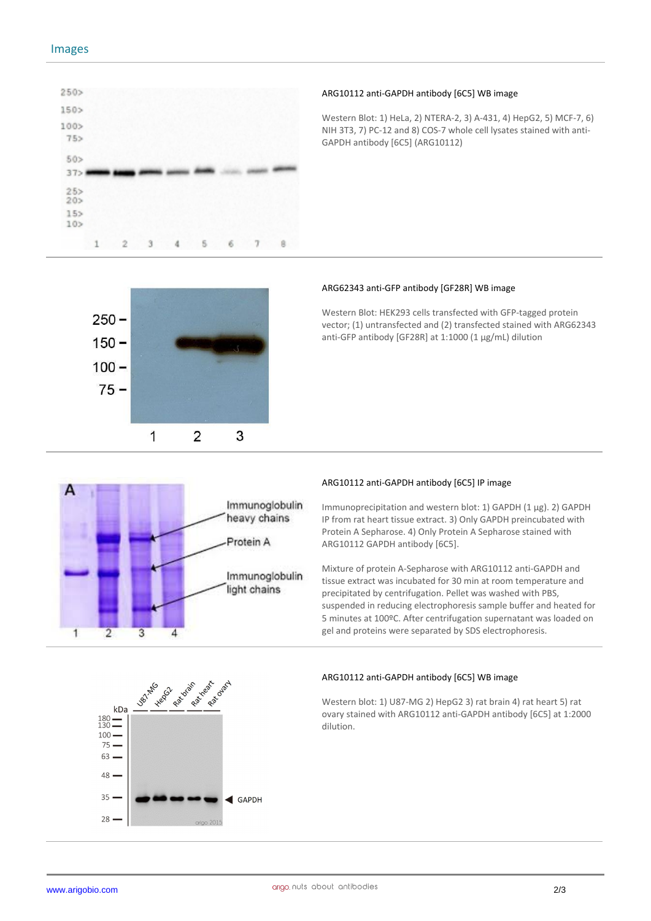

#### **ARG10112 anti-GAPDH antibody [6C5] WB image**

Western Blot: 1) HeLa, 2) NTERA-2, 3) A-431, 4) HepG2, 5) MCF-7, 6) NIH 3T3, 7) PC-12 and 8) COS-7 whole cell lysates stained with anti-GAPDH antibody [6C5] (ARG10112)



#### **ARG62343 anti-GFP antibody [GF28R] WB image**

Western Blot: HEK293 cells transfected with GFP-tagged protein vector; (1) untransfected and (2) transfected stained with ARG62343 anti-GFP antibody [GF28R] at 1:1000 (1 μg/mL) dilution



#### **ARG10112 anti-GAPDH antibody [6C5] IP image**

Immunoprecipitation and western blot: 1) GAPDH (1 μg). 2) GAPDH IP from rat heart tissue extract. 3) Only GAPDH preincubated with Protein A Sepharose. 4) Only Protein A Sepharose stained with ARG10112 GAPDH antibody [6C5].

Mixture of protein A-Sepharose with ARG10112 anti-GAPDH and tissue extract was incubated for 30 min at room temperature and precipitated by centrifugation. Pellet was washed with PBS, suspended in reducing electrophoresis sample buffer and heated for 5 minutes at 100ºC. After centrifugation supernatant was loaded on gel and proteins were separated by SDS electrophoresis.



#### **ARG10112 anti-GAPDH antibody [6C5] WB image**

Western blot: 1) U87-MG 2) HepG2 3) rat brain 4) rat heart 5) rat ovary stained with ARG10112 anti-GAPDH antibody [6C5] at 1:2000 dilution.